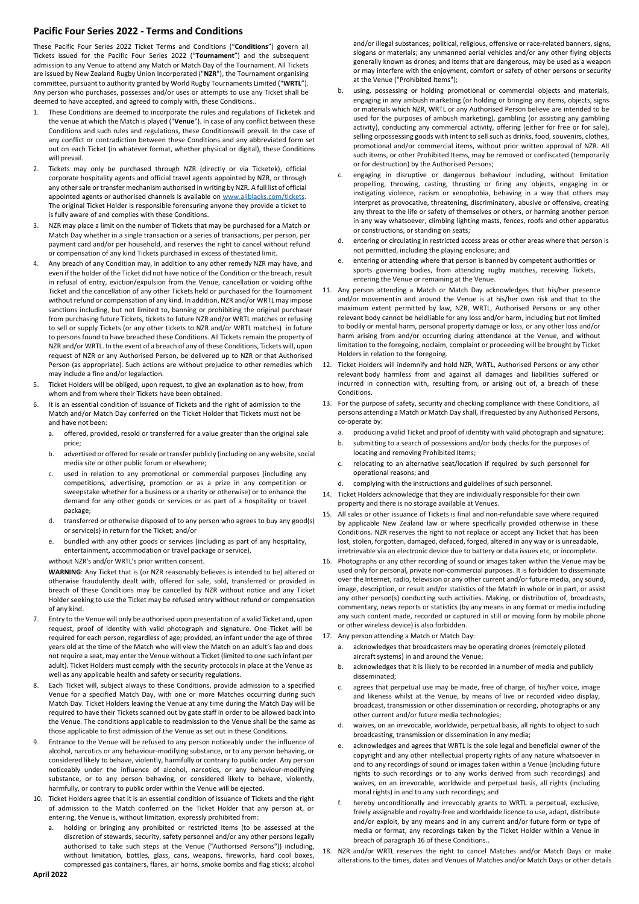## **Pacific Four Series 2022 - Terms and Conditions**

These Pacific Four Series 2022 Ticket Terms and Conditions ("**Conditions**") govern all Tickets issued for the Pacific Four Series 2022 ("**Tournament**") and the subsequent admission to any Venue to attend any Match or Match Day of the Tournament. All Tickets are issued by New Zealand Rugby Union Incorporated ("**NZR**"), the Tournament organising committee, pursuant to authority granted by World Rugby Tournaments Limited ("**WRTL**"). Any person who purchases, possesses and/or uses or attempts to use any Ticket shall be deemed to have accepted, and agreed to comply with, these Conditions..

- 1. These Conditions are deemed to incorporate the rules and regulations of Ticketek and the venue at which the Match is played ("**Venue**"). In case of any conflict between these Conditions and such rules and regulations, these Conditionswill prevail. In the case of any conflict or contradiction between these Conditions and any abbreviated form set out on each Ticket (in whatever format, whether physical or digital), these Conditions will prevail.
- 2. Tickets may only be purchased through NZR (directly or via Ticketek), official corporate hospitality agents and official travel agents appointed by NZR, or through any othersale or transfer mechanism authorised in writing by NZR. A full list of official appointed agents or authorised channels is available on www.allblacks.com/tickets. The original Ticket Holder is responsible forensuring anyone they provide a ticket to is fully aware of and complies with these Conditions.
- NZR may place a limit on the number of Tickets that may be purchased for a Match or Match Day whether in a single transaction or a series of transactions, per person, per payment card and/or per household, and reserves the right to cancel without refund or compensation of any kind Tickets purchased in excess of thestated limit.
- 4. Any breach of any Condition may, in addition to any other remedy NZR may have, and even if the holder of the Ticket did not have notice of the Condition or the breach, result in refusal of entry, eviction/expulsion from the Venue, cancellation or voiding ofthe Ticket and the cancellation of any other Tickets held or purchased for the Tournament without refund or compensation of any kind. In addition, NZR and/or WRTL may impose sanctions including, but not limited to, banning or prohibiting the original purchaser from purchasing future Tickets, tickets to future NZR and/or WRTL matches or refusing to sell or supply Tickets (or any other tickets to NZR and/or WRTL matches) in future to persons found to have breached these Conditions. All Tickets remain the property of NZR and/or WRTL. In the event of a breach of any of these Conditions, Tickets will, upon request of NZR or any Authorised Person, be delivered up to NZR or that Authorised Person (as appropriate). Such actions are without prejudice to other remedies which may include a fine and/or legalaction.
- 5. Ticket Holders will be obliged, upon request, to give an explanation as to how, from whom and from where their Tickets have been obtained.
- 6. It is an essential condition of issuance of Tickets and the right of admission to the Match and/or Match Day conferred on the Ticket Holder that Tickets must not be and have not been:
	- a. offered, provided, resold or transferred for a value greater than the original sale price;
	- b. advertised or offered for resale or transfer publicly (including on any website, social media site or other public forum or elsewhere;
	- c. used in relation to any promotional or commercial purposes (including any competitions, advertising, promotion or as a prize in any competition or sweepstake whether for a business or a charity or otherwise) or to enhance the demand for any other goods or services or as part of a hospitality or travel package;
	- d. transferred or otherwise disposed of to any person who agrees to buy any good(s) or service(s) in return for the Ticket; and/or
	- e. bundled with any other goods or services (including as part of any hospitality, entertainment, accommodation or travel package or service),

## without N7R's and/or WRTL's prior written consent.

**WARNING**: Any Ticket that is (or NZR reasonably believes is intended to be) altered or otherwise fraudulently dealt with, offered for sale, sold, transferred or provided in breach of these Conditions may be cancelled by NZR without notice and any Ticket Holder seeking to use the Ticket may be refused entry without refund or compensation of any kind.

- 7. Entry to the Venue will only be authorised upon presentation of a valid Ticket and, upon request, proof of identity with valid photograph and signature. One Ticket will be required for each person, regardless of age; provided, an infant under the age of three years old at the time of the Match who will view the Match on an adult's lap and does not require a seat, may enter the Venue without a Ticket (limited to one such infant per adult). Ticket Holders must comply with the security protocols in place at the Venue as well as any applicable health and safety or security regulations.
- 8. Each Ticket will, subject always to these Conditions, provide admission to a specified Venue for a specified Match Day, with one or more Matches occurring during such Match Day. Ticket Holders leaving the Venue at any time during the Match Day will be required to have their Tickets scanned out by gate staff in order to be allowed back into the Venue. The conditions applicable to readmission to the Venue shall be the same as those applicable to first admission of the Venue as set out in these Conditions.
- 9. Entrance to the Venue will be refused to any person noticeably under the influence of alcohol, narcotics or any behaviour-modifying substance, or to any person behaving, or considered likely to behave, violently, harmfully or contrary to public order. Any person noticeably under the influence of alcohol, narcotics, or any behaviour-modifying substance, or to any person behaving, or considered likely to behave, violently, harmfully, or contrary to public order within the Venue will be ejected.
- 10. Ticket Holders agree that it is an essential condition of issuance of Tickets and the right of admission to the Match conferred on the Ticket Holder that any person at, or entering, the Venue is, without limitation, expressly prohibited from:
	- holding or bringing any prohibited or restricted items (to be assessed at the discretion of stewards, security, safety personnel and/or any other persons legally authorised to take such steps at the Venue ("Authorised Persons")) including, without limitation, bottles, glass, cans, weapons, fireworks, hard cool boxes, compressed gas containers, flares, air horns, smoke bombs and flag sticks; alcohol

and/or illegal substances; political, religious, offensive or race-related banners, signs, slogans or materials; any unmanned aerial vehicles and/or any other flying objects generally known as drones; and items that are dangerous, may be used as a weapon or may interfere with the enjoyment, comfort or safety of other persons or security at the Venue ("Prohibited Items");

- b. using, possessing or holding promotional or commercial objects and materials, engaging in any ambush marketing (or holding or bringing any items, objects, signs or materials which NZR, WRTL or any Authorised Person believe are intended to be used for the purposes of ambush marketing), gambling (or assisting any gambling activity), conducting any commercial activity, offering (either for free or for sale), selling orpossessing goods with intent to sell such as drinks, food, souvenirs, clothes, promotional and/or commercial items, without prior written approval of NZR. All such items, or other Prohibited Items, may be removed or confiscated (temporarily or for destruction) by the Authorised Persons;
- c. engaging in disruptive or dangerous behaviour including, without limitation propelling, throwing, casting, thrusting or firing any objects, engaging in or instigating violence, racism or xenophobia, behaving in a way that others may interpret as provocative, threatening, discriminatory, abusive or offensive, creating any threat to the life or safety of themselves or others, or harming another person in any way whatsoever, climbing lighting masts, fences, roofs and other apparatus or constructions, or standing on seats;
- entering or circulating in restricted access areas or other areas where that person is not permitted, including the playing enclosure; and
- entering or attending where that person is banned by competent authorities or sports governing bodies, from attending rugby matches, receiving Tickets, entering the Venue or remaining at the Venue.
- 11. Any person attending a Match or Match Day acknowledges that his/her presence and/or movementin and around the Venue is at his/her own risk and that to the maximum extent permitted by law, NZR, WRTL, Authorised Persons or any other relevant body cannot be heldliable for any loss and/or harm, including but not limited to bodily or mental harm, personal property damage or loss, or any other loss and/or harm arising from and/or occurring during attendance at the Venue, and without limitation to the foregoing, noclaim, complaint or proceeding will be brought by Ticket Holders in relation to the foregoing.
- 12. Ticket Holders will indemnify and hold NZR, WRTL, Authorised Persons or any other relevant body harmless from and against all damages and liabilities suffered or incurred in connection with, resulting from, or arising out of, a breach of these Conditions.
- 13. For the purpose of safety, security and checking compliance with these Conditions, all persons attending a Match or Match Day shall, if requested by any Authorised Persons, co-operate by:
	- a. producing a valid Ticket and proof of identity with valid photograph and signature; submitting to a search of possessions and/or body checks for the purposes of
	- locating and removing Prohibited Items;
	- relocating to an alternative seat/location if required by such personnel for operational reasons; and
	- d. complying with the instructions and guidelines of such personnel.
- 14. Ticket Holders acknowledge that they are individually responsible for their own property and there is no storage available at Venues.
- 15. All sales or other issuance of Tickets is final and non-refundable save where required by applicable New Zealand law or where specifically provided otherwise in these Conditions. NZR reserves the right to not replace or accept any Ticket that has been lost, stolen, forgotten, damaged, defaced, forged, altered in any way or is unreadable, irretrievable via an electronic device due to battery or data issues etc, or incomplete.
- 16. Photographs or any other recording of sound or images taken within the Venue may be used only for personal, private non-commercial purposes. It is forbidden to disseminate over the Internet, radio, television or any other current and/or future media, any sound, image, description, or result and/or statistics of the Match in whole or in part, or assist any other person(s) conducting such activities. Making, or distribution of, broadcasts, commentary, news reports or statistics (by any means in any format or media including any such content made, recorded or captured in still or moving form by mobile phone or other wireless device) is also forbidden.
- 17. Any person attending a Match or Match Day:
	- acknowledges that broadcasters may be operating drones (remotely piloted aircraft systems) in and around the Venue;
	- b. acknowledges that it is likely to be recorded in a number of media and publicly disseminated;
	- c. agrees that perpetual use may be made, free of charge, of his/her voice, image and likeness whilst at the Venue, by means of live or recorded video display, broadcast, transmission or other dissemination or recording, photographs or any other current and/or future media technologies;
	- d. waives, on an irrevocable, worldwide, perpetual basis, all rights to object to such broadcasting, transmission or dissemination in any media;
	- acknowledges and agrees that WRTL is the sole legal and beneficial owner of the copyright and any other intellectual property rights of any nature whatsoever in and to any recordings of sound or images taken within a Venue (including future rights to such recordings or to any works derived from such recordings) and waives, on an irrevocable, worldwide and perpetual basis, all rights (including moral rights) in and to any such recordings; and
	- f. hereby unconditionally and irrevocably grants to WRTL a perpetual, exclusive, freely assignable and royalty-free and worldwide licence to use, adapt, distribute and/or exploit, by any means and in any current and/or future form or type of media or format, any recordings taken by the Ticket Holder within a Venue in breach of paragraph 16 of these Conditions..
- 18. NZR and/or WRTL reserves the right to cancel Matches and/or Match Days or make alterations to the times, dates and Venues of Matches and/or Match Days or other details